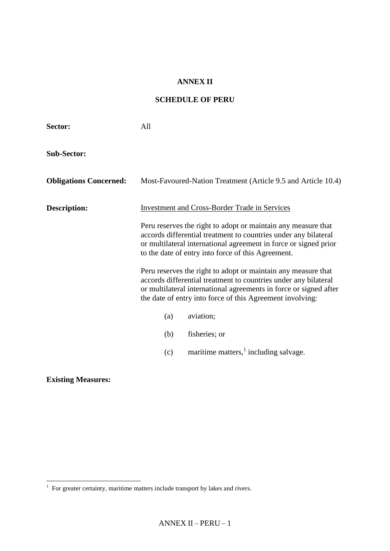#### **ANNEX II**

### **SCHEDULE OF PERU**

| Sector:                       | All |                                                                                                                                                                                                                                                                    |
|-------------------------------|-----|--------------------------------------------------------------------------------------------------------------------------------------------------------------------------------------------------------------------------------------------------------------------|
| <b>Sub-Sector:</b>            |     |                                                                                                                                                                                                                                                                    |
| <b>Obligations Concerned:</b> |     | Most-Favoured-Nation Treatment (Article 9.5 and Article 10.4)                                                                                                                                                                                                      |
| <b>Description:</b>           |     | <b>Investment and Cross-Border Trade in Services</b>                                                                                                                                                                                                               |
|                               |     | Peru reserves the right to adopt or maintain any measure that<br>accords differential treatment to countries under any bilateral<br>or multilateral international agreement in force or signed prior<br>to the date of entry into force of this Agreement.         |
|                               |     | Peru reserves the right to adopt or maintain any measure that<br>accords differential treatment to countries under any bilateral<br>or multilateral international agreements in force or signed after<br>the date of entry into force of this Agreement involving: |
|                               | (a) | aviation;                                                                                                                                                                                                                                                          |
|                               | (b) | fisheries; or                                                                                                                                                                                                                                                      |
|                               | (c) | maritime matters, $\frac{1}{1}$ including salvage.                                                                                                                                                                                                                 |

**Existing Measures:**

 1 For greater certainty, maritime matters include transport by lakes and rivers.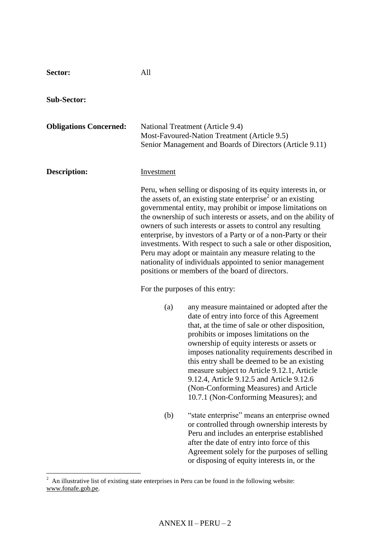| Sector:                       | All        |                                                                                                                                                                                                                                                                                                                                                                                                                                                                                                                                                                                                                                                          |
|-------------------------------|------------|----------------------------------------------------------------------------------------------------------------------------------------------------------------------------------------------------------------------------------------------------------------------------------------------------------------------------------------------------------------------------------------------------------------------------------------------------------------------------------------------------------------------------------------------------------------------------------------------------------------------------------------------------------|
| <b>Sub-Sector:</b>            |            |                                                                                                                                                                                                                                                                                                                                                                                                                                                                                                                                                                                                                                                          |
| <b>Obligations Concerned:</b> |            | National Treatment (Article 9.4)<br>Most-Favoured-Nation Treatment (Article 9.5)<br>Senior Management and Boards of Directors (Article 9.11)                                                                                                                                                                                                                                                                                                                                                                                                                                                                                                             |
| <b>Description:</b>           | Investment |                                                                                                                                                                                                                                                                                                                                                                                                                                                                                                                                                                                                                                                          |
|                               |            | Peru, when selling or disposing of its equity interests in, or<br>the assets of, an existing state enterprise <sup>2</sup> or an existing<br>governmental entity, may prohibit or impose limitations on<br>the ownership of such interests or assets, and on the ability of<br>owners of such interests or assets to control any resulting<br>enterprise, by investors of a Party or of a non-Party or their<br>investments. With respect to such a sale or other disposition,<br>Peru may adopt or maintain any measure relating to the<br>nationality of individuals appointed to senior management<br>positions or members of the board of directors. |
|                               |            | For the purposes of this entry:                                                                                                                                                                                                                                                                                                                                                                                                                                                                                                                                                                                                                          |
|                               | (a)        | any measure maintained or adopted after the<br>date of entry into force of this Agreement<br>that, at the time of sale or other disposition,<br>prohibits or imposes limitations on the<br>ownership of equity interests or assets or<br>imposes nationality requirements described in<br>this entry shall be deemed to be an existing<br>measure subject to Article 9.12.1, Article<br>9.12.4, Article 9.12.5 and Article 9.12.6<br>(Non-Conforming Measures) and Article<br>10.7.1 (Non-Conforming Measures); and                                                                                                                                      |
|                               | (b)        | "state enterprise" means an enterprise owned<br>or controlled through ownership interests by<br>Peru and includes an enterprise established<br>after the date of entry into force of this<br>Agreement solely for the purposes of selling<br>or disposing of equity interests in, or the                                                                                                                                                                                                                                                                                                                                                                 |

 $\overline{a}$ 

 $2^2$  An illustrative list of existing state enterprises in Peru can be found in the following website: [www.fonafe.gob.pe.](http://www.fonafe.gob.pe/)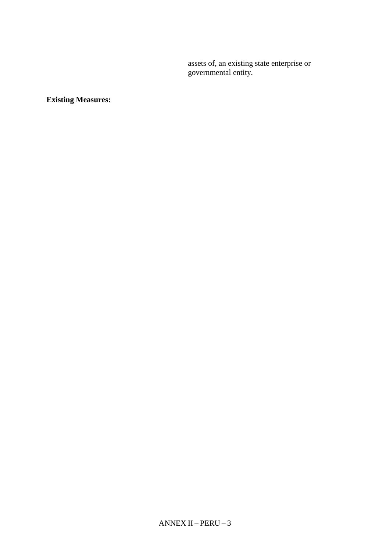assets of, an existing state enterprise or governmental entity.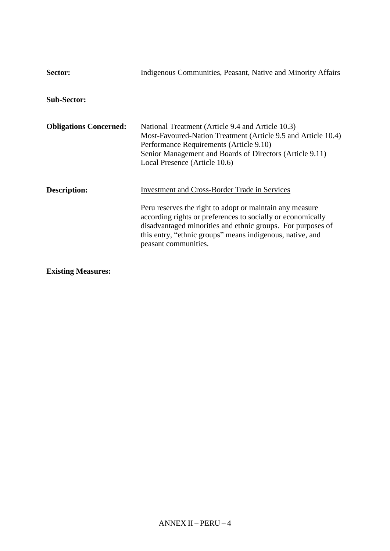| Sector:                       | Indigenous Communities, Peasant, Native and Minority Affairs                                                                                                                                                                                                                                                                        |
|-------------------------------|-------------------------------------------------------------------------------------------------------------------------------------------------------------------------------------------------------------------------------------------------------------------------------------------------------------------------------------|
| <b>Sub-Sector:</b>            |                                                                                                                                                                                                                                                                                                                                     |
| <b>Obligations Concerned:</b> | National Treatment (Article 9.4 and Article 10.3)<br>Most-Favoured-Nation Treatment (Article 9.5 and Article 10.4)<br>Performance Requirements (Article 9.10)<br>Senior Management and Boards of Directors (Article 9.11)<br>Local Presence (Article 10.6)                                                                          |
| Description:                  | <b>Investment and Cross-Border Trade in Services</b><br>Peru reserves the right to adopt or maintain any measure<br>according rights or preferences to socially or economically<br>disadvantaged minorities and ethnic groups. For purposes of<br>this entry, "ethnic groups" means indigenous, native, and<br>peasant communities. |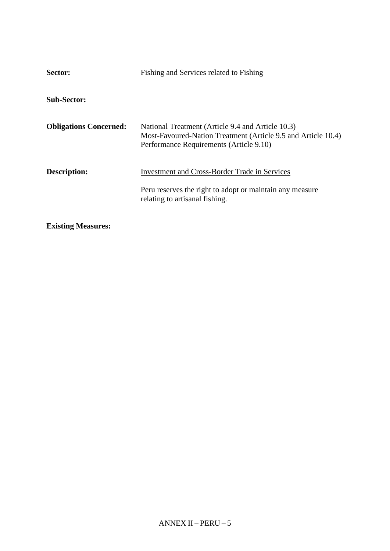| Sector:                       | Fishing and Services related to Fishing                                                                                                                       |
|-------------------------------|---------------------------------------------------------------------------------------------------------------------------------------------------------------|
| <b>Sub-Sector:</b>            |                                                                                                                                                               |
| <b>Obligations Concerned:</b> | National Treatment (Article 9.4 and Article 10.3)<br>Most-Favoured-Nation Treatment (Article 9.5 and Article 10.4)<br>Performance Requirements (Article 9.10) |
| Description:                  | <b>Investment and Cross-Border Trade in Services</b><br>Peru reserves the right to adopt or maintain any measure<br>relating to artisanal fishing.            |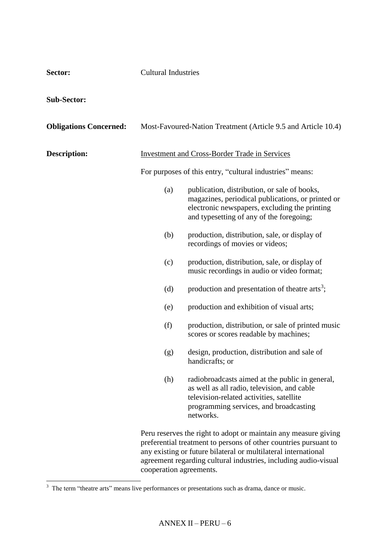| Sector:                       | <b>Cultural Industries</b> |                                                                                                                                                                                                                                                                          |
|-------------------------------|----------------------------|--------------------------------------------------------------------------------------------------------------------------------------------------------------------------------------------------------------------------------------------------------------------------|
| <b>Sub-Sector:</b>            |                            |                                                                                                                                                                                                                                                                          |
| <b>Obligations Concerned:</b> |                            | Most-Favoured-Nation Treatment (Article 9.5 and Article 10.4)                                                                                                                                                                                                            |
| <b>Description:</b>           |                            | <b>Investment and Cross-Border Trade in Services</b>                                                                                                                                                                                                                     |
|                               |                            | For purposes of this entry, "cultural industries" means:                                                                                                                                                                                                                 |
|                               | (a)                        | publication, distribution, or sale of books,<br>magazines, periodical publications, or printed or<br>electronic newspapers, excluding the printing<br>and typesetting of any of the foregoing;                                                                           |
|                               | (b)                        | production, distribution, sale, or display of<br>recordings of movies or videos;                                                                                                                                                                                         |
|                               | (c)                        | production, distribution, sale, or display of<br>music recordings in audio or video format;                                                                                                                                                                              |
|                               | (d)                        | production and presentation of theatre arts <sup>3</sup> ;                                                                                                                                                                                                               |
|                               | (e)                        | production and exhibition of visual arts;                                                                                                                                                                                                                                |
|                               | (f)                        | production, distribution, or sale of printed music<br>scores or scores readable by machines;                                                                                                                                                                             |
|                               | (g)                        | design, production, distribution and sale of<br>handicrafts; or                                                                                                                                                                                                          |
|                               | (h)                        | radiobroadcasts aimed at the public in general,<br>as well as all radio, television, and cable<br>television-related activities, satellite<br>programming services, and broadcasting<br>networks.                                                                        |
|                               |                            | Peru reserves the right to adopt or maintain any measure giving<br>preferential treatment to persons of other countries pursuant to<br>any existing or future bilateral or multilateral international<br>agreement regarding cultural industries, including audio-visual |

<sup>&</sup>lt;sup>3</sup> The term "theatre arts" means live performances or presentations such as drama, dance or music.

cooperation agreements.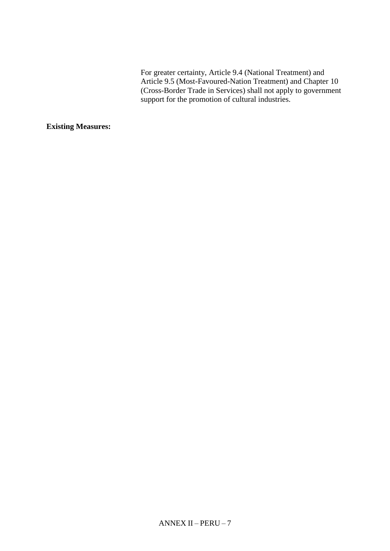For greater certainty, Article 9.4 (National Treatment) and Article 9.5 (Most-Favoured-Nation Treatment) and Chapter 10 (Cross-Border Trade in Services) shall not apply to government support for the promotion of cultural industries.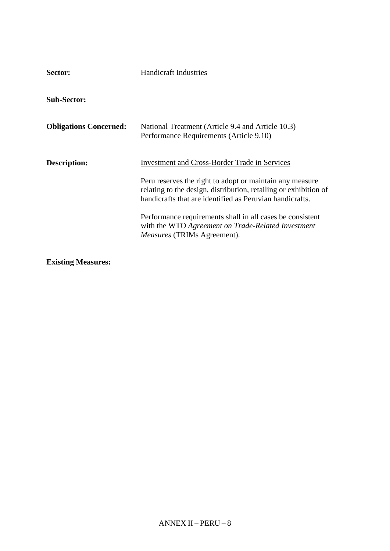| Sector:                       | <b>Handicraft Industries</b>                                                                                                                                                                                                                                                                                                                                                                              |
|-------------------------------|-----------------------------------------------------------------------------------------------------------------------------------------------------------------------------------------------------------------------------------------------------------------------------------------------------------------------------------------------------------------------------------------------------------|
| <b>Sub-Sector:</b>            |                                                                                                                                                                                                                                                                                                                                                                                                           |
| <b>Obligations Concerned:</b> | National Treatment (Article 9.4 and Article 10.3)<br>Performance Requirements (Article 9.10)                                                                                                                                                                                                                                                                                                              |
| Description:                  | <b>Investment and Cross-Border Trade in Services</b><br>Peru reserves the right to adopt or maintain any measure<br>relating to the design, distribution, retailing or exhibition of<br>handicrafts that are identified as Peruvian handicrafts.<br>Performance requirements shall in all cases be consistent<br>with the WTO Agreement on Trade-Related Investment<br><i>Measures</i> (TRIMs Agreement). |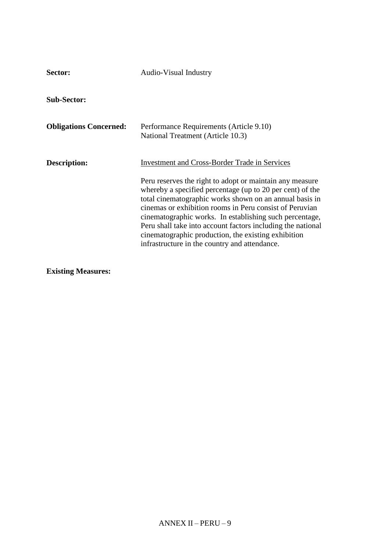| Sector:                       | <b>Audio-Visual Industry</b>                                                                                                                                                                                                                                                                                                                                                                                                                                                                                                          |
|-------------------------------|---------------------------------------------------------------------------------------------------------------------------------------------------------------------------------------------------------------------------------------------------------------------------------------------------------------------------------------------------------------------------------------------------------------------------------------------------------------------------------------------------------------------------------------|
| <b>Sub-Sector:</b>            |                                                                                                                                                                                                                                                                                                                                                                                                                                                                                                                                       |
| <b>Obligations Concerned:</b> | Performance Requirements (Article 9.10)<br>National Treatment (Article 10.3)                                                                                                                                                                                                                                                                                                                                                                                                                                                          |
| Description:                  | <b>Investment and Cross-Border Trade in Services</b><br>Peru reserves the right to adopt or maintain any measure<br>whereby a specified percentage (up to 20 per cent) of the<br>total cinematographic works shown on an annual basis in<br>cinemas or exhibition rooms in Peru consist of Peruvian<br>cinematographic works. In establishing such percentage,<br>Peru shall take into account factors including the national<br>cinematographic production, the existing exhibition<br>infrastructure in the country and attendance. |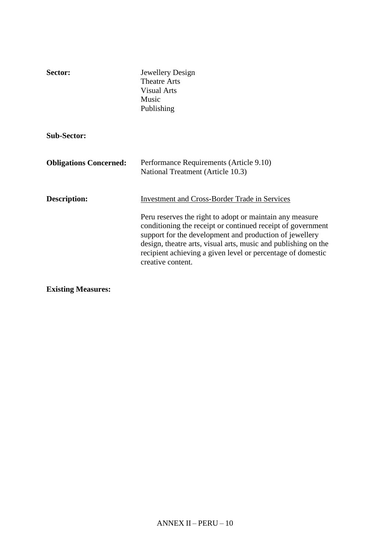| Sector:                       | Jewellery Design<br><b>Theatre Arts</b><br><b>Visual Arts</b><br>Music<br>Publishing                                                                                                                                                                                                                                                                                                             |
|-------------------------------|--------------------------------------------------------------------------------------------------------------------------------------------------------------------------------------------------------------------------------------------------------------------------------------------------------------------------------------------------------------------------------------------------|
| <b>Sub-Sector:</b>            |                                                                                                                                                                                                                                                                                                                                                                                                  |
| <b>Obligations Concerned:</b> | Performance Requirements (Article 9.10)<br>National Treatment (Article 10.3)                                                                                                                                                                                                                                                                                                                     |
| Description:                  | <b>Investment and Cross-Border Trade in Services</b><br>Peru reserves the right to adopt or maintain any measure<br>conditioning the receipt or continued receipt of government<br>support for the development and production of jewellery<br>design, theatre arts, visual arts, music and publishing on the<br>recipient achieving a given level or percentage of domestic<br>creative content. |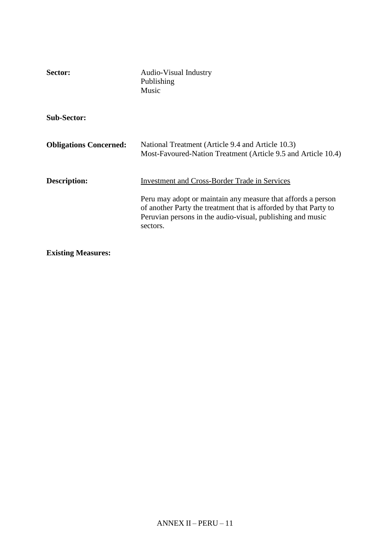| Sector:                       | <b>Audio-Visual Industry</b><br>Publishing<br>Music                                                                                                                                                                                                                |
|-------------------------------|--------------------------------------------------------------------------------------------------------------------------------------------------------------------------------------------------------------------------------------------------------------------|
| <b>Sub-Sector:</b>            |                                                                                                                                                                                                                                                                    |
| <b>Obligations Concerned:</b> | National Treatment (Article 9.4 and Article 10.3)<br>Most-Favoured-Nation Treatment (Article 9.5 and Article 10.4)                                                                                                                                                 |
| Description:                  | <b>Investment and Cross-Border Trade in Services</b><br>Peru may adopt or maintain any measure that affords a person<br>of another Party the treatment that is afforded by that Party to<br>Peruvian persons in the audio-visual, publishing and music<br>sectors. |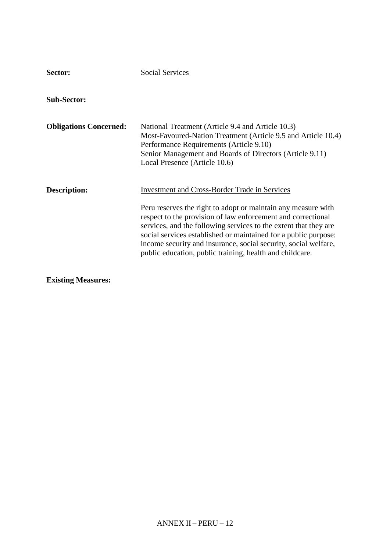| Sector:                       | <b>Social Services</b>                                                                                                                                                                                                                                                                                                                                                                                                                                      |
|-------------------------------|-------------------------------------------------------------------------------------------------------------------------------------------------------------------------------------------------------------------------------------------------------------------------------------------------------------------------------------------------------------------------------------------------------------------------------------------------------------|
| <b>Sub-Sector:</b>            |                                                                                                                                                                                                                                                                                                                                                                                                                                                             |
| <b>Obligations Concerned:</b> | National Treatment (Article 9.4 and Article 10.3)<br>Most-Favoured-Nation Treatment (Article 9.5 and Article 10.4)<br>Performance Requirements (Article 9.10)<br>Senior Management and Boards of Directors (Article 9.11)<br>Local Presence (Article 10.6)                                                                                                                                                                                                  |
| Description:                  | <b>Investment and Cross-Border Trade in Services</b><br>Peru reserves the right to adopt or maintain any measure with<br>respect to the provision of law enforcement and correctional<br>services, and the following services to the extent that they are<br>social services established or maintained for a public purpose:<br>income security and insurance, social security, social welfare,<br>public education, public training, health and childcare. |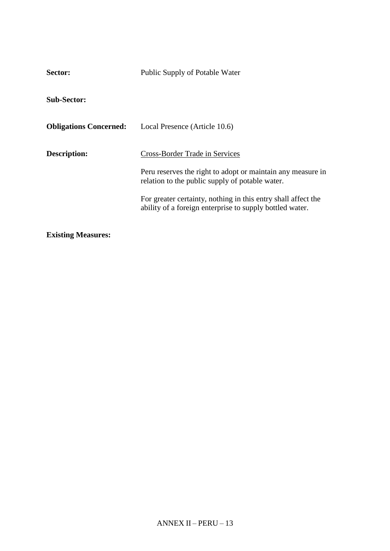| Public Supply of Potable Water                                                                                                                                                                                    |  |
|-------------------------------------------------------------------------------------------------------------------------------------------------------------------------------------------------------------------|--|
|                                                                                                                                                                                                                   |  |
| Local Presence (Article 10.6)                                                                                                                                                                                     |  |
| Cross-Border Trade in Services<br>Peru reserves the right to adopt or maintain any measure in<br>relation to the public supply of potable water.<br>For greater certainty, nothing in this entry shall affect the |  |
| ability of a foreign enterprise to supply bottled water.                                                                                                                                                          |  |
|                                                                                                                                                                                                                   |  |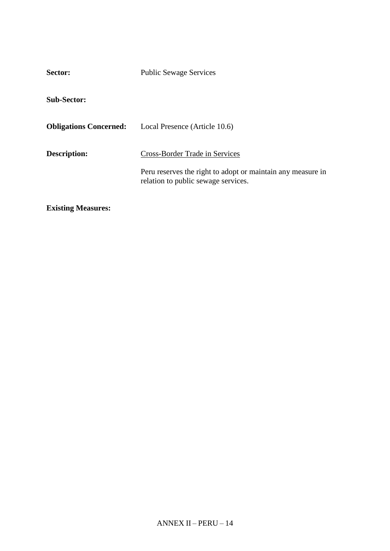| Sector:                       | <b>Public Sewage Services</b>                                                                                                        |
|-------------------------------|--------------------------------------------------------------------------------------------------------------------------------------|
| <b>Sub-Sector:</b>            |                                                                                                                                      |
| <b>Obligations Concerned:</b> | Local Presence (Article 10.6)                                                                                                        |
| <b>Description:</b>           | Cross-Border Trade in Services<br>Peru reserves the right to adopt or maintain any measure in<br>relation to public sewage services. |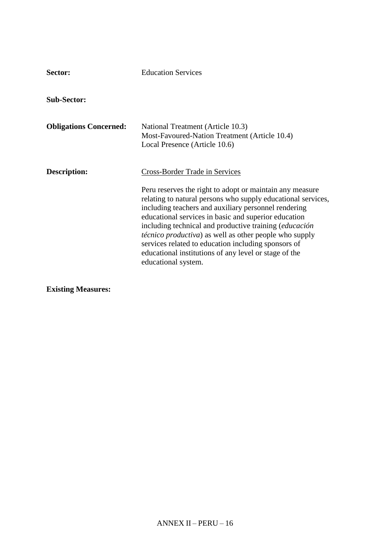| Sector:                       | <b>Education Services</b>                                                                                                                                                                                                                                                                                                                                                                                                                                                                                                                            |
|-------------------------------|------------------------------------------------------------------------------------------------------------------------------------------------------------------------------------------------------------------------------------------------------------------------------------------------------------------------------------------------------------------------------------------------------------------------------------------------------------------------------------------------------------------------------------------------------|
| <b>Sub-Sector:</b>            |                                                                                                                                                                                                                                                                                                                                                                                                                                                                                                                                                      |
| <b>Obligations Concerned:</b> | National Treatment (Article 10.3)<br>Most-Favoured-Nation Treatment (Article 10.4)<br>Local Presence (Article 10.6)                                                                                                                                                                                                                                                                                                                                                                                                                                  |
| Description:                  | <b>Cross-Border Trade in Services</b><br>Peru reserves the right to adopt or maintain any measure<br>relating to natural persons who supply educational services,<br>including teachers and auxiliary personnel rendering<br>educational services in basic and superior education<br>including technical and productive training (educación<br><i>técnico productiva</i> ) as well as other people who supply<br>services related to education including sponsors of<br>educational institutions of any level or stage of the<br>educational system. |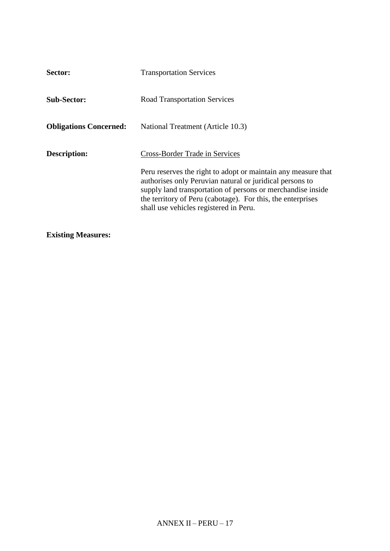| <b>Transportation Services</b>                                                                                                                                                                                                                                                                                                      |
|-------------------------------------------------------------------------------------------------------------------------------------------------------------------------------------------------------------------------------------------------------------------------------------------------------------------------------------|
| <b>Road Transportation Services</b>                                                                                                                                                                                                                                                                                                 |
| National Treatment (Article 10.3)                                                                                                                                                                                                                                                                                                   |
| Cross-Border Trade in Services<br>Peru reserves the right to adopt or maintain any measure that<br>authorises only Peruvian natural or juridical persons to<br>supply land transportation of persons or merchandise inside<br>the territory of Peru (cabotage). For this, the enterprises<br>shall use vehicles registered in Peru. |
|                                                                                                                                                                                                                                                                                                                                     |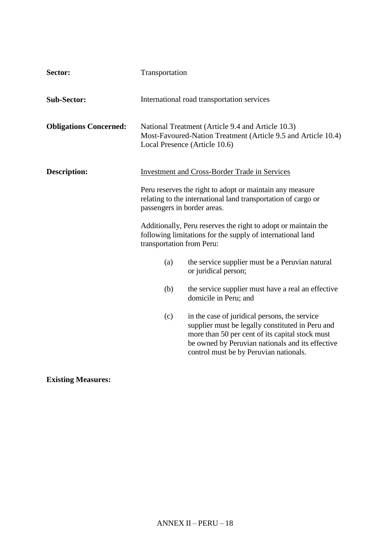| Sector:                       | Transportation                                                                                                                                            |                                                                                                                                                                                                                                                    |  |
|-------------------------------|-----------------------------------------------------------------------------------------------------------------------------------------------------------|----------------------------------------------------------------------------------------------------------------------------------------------------------------------------------------------------------------------------------------------------|--|
| <b>Sub-Sector:</b>            |                                                                                                                                                           | International road transportation services                                                                                                                                                                                                         |  |
| <b>Obligations Concerned:</b> |                                                                                                                                                           | National Treatment (Article 9.4 and Article 10.3)<br>Most-Favoured-Nation Treatment (Article 9.5 and Article 10.4)<br>Local Presence (Article 10.6)                                                                                                |  |
| <b>Description:</b>           | <b>Investment and Cross-Border Trade in Services</b>                                                                                                      |                                                                                                                                                                                                                                                    |  |
|                               | Peru reserves the right to adopt or maintain any measure<br>relating to the international land transportation of cargo or<br>passengers in border areas.  |                                                                                                                                                                                                                                                    |  |
|                               | Additionally, Peru reserves the right to adopt or maintain the<br>following limitations for the supply of international land<br>transportation from Peru: |                                                                                                                                                                                                                                                    |  |
|                               | (a)                                                                                                                                                       | the service supplier must be a Peruvian natural<br>or juridical person;                                                                                                                                                                            |  |
|                               | (b)                                                                                                                                                       | the service supplier must have a real an effective<br>domicile in Peru; and                                                                                                                                                                        |  |
|                               | (c)                                                                                                                                                       | in the case of juridical persons, the service<br>supplier must be legally constituted in Peru and<br>more than 50 per cent of its capital stock must<br>be owned by Peruvian nationals and its effective<br>control must be by Peruvian nationals. |  |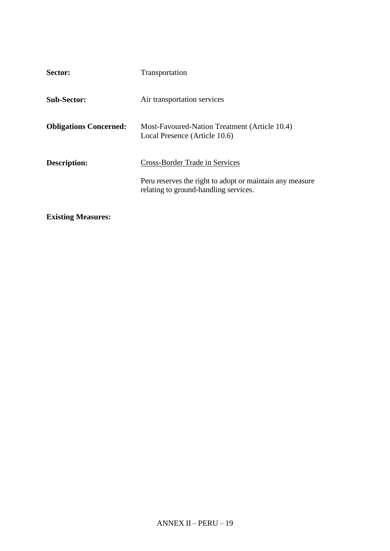| Sector:                       | Transportation                                                                                    |
|-------------------------------|---------------------------------------------------------------------------------------------------|
| <b>Sub-Sector:</b>            | Air transportation services                                                                       |
| <b>Obligations Concerned:</b> | Most-Favoured-Nation Treatment (Article 10.4)<br>Local Presence (Article 10.6)                    |
| Description:                  | <b>Cross-Border Trade in Services</b>                                                             |
|                               | Peru reserves the right to adopt or maintain any measure<br>relating to ground-handling services. |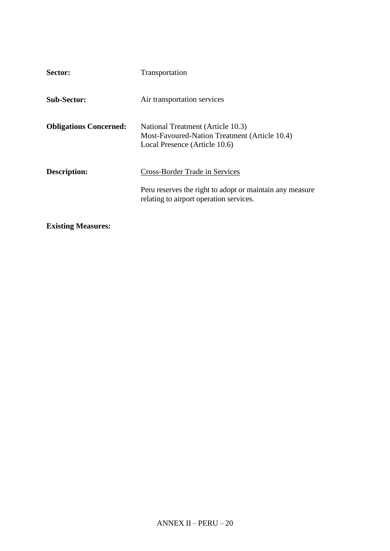| Sector:                       | Transportation                                                                                                      |
|-------------------------------|---------------------------------------------------------------------------------------------------------------------|
| <b>Sub-Sector:</b>            | Air transportation services                                                                                         |
| <b>Obligations Concerned:</b> | National Treatment (Article 10.3)<br>Most-Favoured-Nation Treatment (Article 10.4)<br>Local Presence (Article 10.6) |
| Description:                  | <b>Cross-Border Trade in Services</b>                                                                               |
|                               | Peru reserves the right to adopt or maintain any measure<br>relating to airport operation services.                 |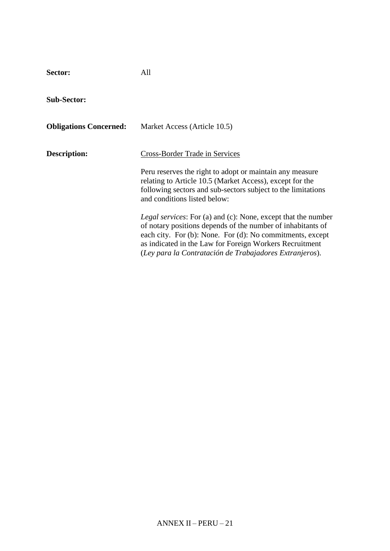**Sector:** All

**Sub-Sector:**

| <b>Obligations Concerned:</b> | Market Access (Article 10.5)                                                                                                                                                                                                                                                                                           |
|-------------------------------|------------------------------------------------------------------------------------------------------------------------------------------------------------------------------------------------------------------------------------------------------------------------------------------------------------------------|
| Description:                  | Cross-Border Trade in Services                                                                                                                                                                                                                                                                                         |
|                               | Peru reserves the right to adopt or maintain any measure<br>relating to Article 10.5 (Market Access), except for the<br>following sectors and sub-sectors subject to the limitations<br>and conditions listed below:                                                                                                   |
|                               | <i>Legal services:</i> For (a) and (c): None, except that the number<br>of notary positions depends of the number of inhabitants of<br>each city. For (b): None. For (d): No commitments, except<br>as indicated in the Law for Foreign Workers Recruitment<br>(Ley para la Contratación de Trabajadores Extranjeros). |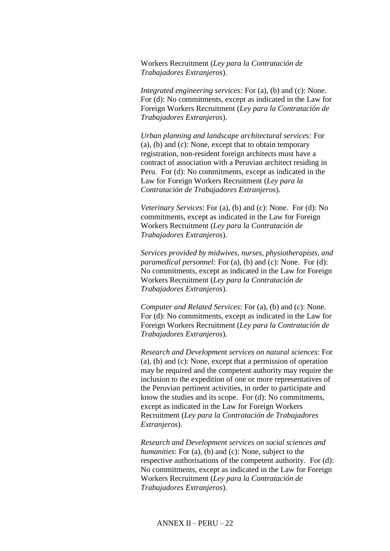Workers Recruitment (*Ley para la Contratación de Trabajadores Extranjeros*).

*Integrated engineering services:* For (a), (b) and (c): None. For (d): No commitments, except as indicated in the Law for Foreign Workers Recruitment (*Ley para la Contratación de Trabajadores Extranjeros*).

*Urban planning and landscape architectural services:* For (a), (b) and (c): None, except that to obtain temporary registration, non-resident foreign architects must have a contract of association with a Peruvian architect residing in Peru. For (d): No commitments, except as indicated in the Law for Foreign Workers Recruitment (*Ley para la Contratación de Trabajadores Extranjeros*).

*Veterinary Services*: For (a), (b) and (c): None. For (d): No commitments, except as indicated in the Law for Foreign Workers Recruitment (*Ley para la Contratación de Trabajadores Extranjeros*).

*Services provided by midwives, nurses, physiotherapists, and paramedical personnel:* For (a), (b) and (c): None. For (d): No commitments, except as indicated in the Law for Foreign Workers Recruitment (*Ley para la Contratación de Trabajadores Extranjeros*).

*Computer and Related Services*: For (a), (b) and (c): None. For (d): No commitments, except as indicated in the Law for Foreign Workers Recruitment (*Ley para la Contratación de Trabajadores Extranjeros*).

*Research and Development services on natural sciences*: For (a), (b) and (c): None, except that a permission of operation may be required and the competent authority may require the inclusion to the expedition of one or more representatives of the Peruvian pertinent activities, in order to participate and know the studies and its scope. For (d): No commitments, except as indicated in the Law for Foreign Workers Recruitment (*Ley para la Contratación de Trabajadores Extranjeros*).

*Research and Development services on social sciences and humanities*: For (a), (b) and (c): None, subject to the respective authorisations of the competent authority. For (d): No commitments, except as indicated in the Law for Foreign Workers Recruitment (*Ley para la Contratación de Trabajadores Extranjeros*).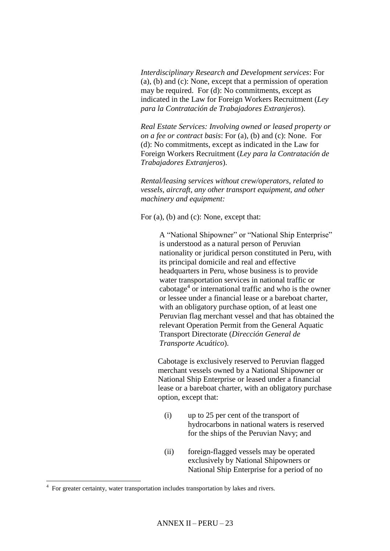*Interdisciplinary Research and Development services*: For (a), (b) and (c): None, except that a permission of operation may be required. For (d): No commitments, except as indicated in the Law for Foreign Workers Recruitment (*Ley para la Contratación de Trabajadores Extranjeros*).

*Real Estate Services: Involving owned or leased property or on a fee or contract basis*: For (a), (b) and (c): None. For (d): No commitments, except as indicated in the Law for Foreign Workers Recruitment (*Ley para la Contratación de Trabajadores Extranjeros*).

*Rental/leasing services without crew/operators, related to vessels, aircraft, any other transport equipment, and other machinery and equipment:*

For (a), (b) and (c): None, except that:

A "National Shipowner" or "National Ship Enterprise" is understood as a natural person of Peruvian nationality or juridical person constituted in Peru, with its principal domicile and real and effective headquarters in Peru, whose business is to provide water transportation services in national traffic or cabotage<sup>4</sup> or international traffic and who is the owner or lessee under a financial lease or a bareboat charter, with an obligatory purchase option, of at least one Peruvian flag merchant vessel and that has obtained the relevant Operation Permit from the General Aquatic Transport Directorate (*Dirección General de Transporte Acuático*).

Cabotage is exclusively reserved to Peruvian flagged merchant vessels owned by a National Shipowner or National Ship Enterprise or leased under a financial lease or a bareboat charter, with an obligatory purchase option, except that:

- (i) up to 25 per cent of the transport of hydrocarbons in national waters is reserved for the ships of the Peruvian Navy; and
- (ii) foreign-flagged vessels may be operated exclusively by National Shipowners or National Ship Enterprise for a period of no

 $\overline{a}$ 

<sup>&</sup>lt;sup>4</sup> For greater certainty, water transportation includes transportation by lakes and rivers.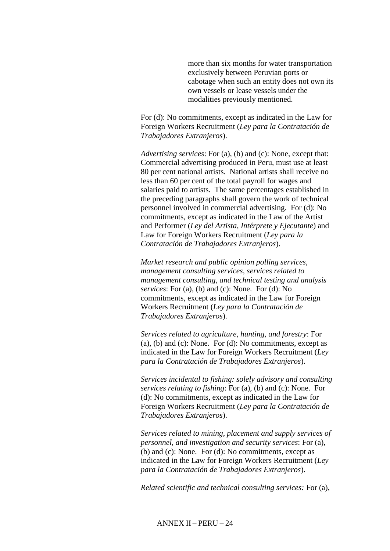more than six months for water transportation exclusively between Peruvian ports or cabotage when such an entity does not own its own vessels or lease vessels under the modalities previously mentioned.

For (d): No commitments, except as indicated in the Law for Foreign Workers Recruitment (*Ley para la Contratación de Trabajadores Extranjeros*).

*Advertising services*: For (a), (b) and (c): None, except that: Commercial advertising produced in Peru, must use at least 80 per cent national artists. National artists shall receive no less than 60 per cent of the total payroll for wages and salaries paid to artists. The same percentages established in the preceding paragraphs shall govern the work of technical personnel involved in commercial advertising. For (d): No commitments, except as indicated in the Law of the Artist and Performer (*Ley del Artista, Intérprete y Ejecutante*) and Law for Foreign Workers Recruitment (*Ley para la Contratación de Trabajadores Extranjeros*).

*Market research and public opinion polling services, management consulting services, services related to management consulting, and technical testing and analysis services*: For (a), (b) and (c): None. For (d): No commitments, except as indicated in the Law for Foreign Workers Recruitment (*Ley para la Contratación de Trabajadores Extranjeros*).

*Services related to agriculture, hunting, and forestry*: For (a), (b) and (c): None. For  $(d)$ : No commitments, except as indicated in the Law for Foreign Workers Recruitment (*Ley para la Contratación de Trabajadores Extranjeros*).

*Services incidental to fishing: solely advisory and consulting services relating to fishing*: For (a), (b) and (c): None. For (d): No commitments, except as indicated in the Law for Foreign Workers Recruitment (*Ley para la Contratación de Trabajadores Extranjeros*).

*Services related to mining, placement and supply services of personnel, and investigation and security services*: For (a), (b) and (c): None. For (d): No commitments, except as indicated in the Law for Foreign Workers Recruitment (*Ley para la Contratación de Trabajadores Extranjeros*).

*Related scientific and technical consulting services:* For (a),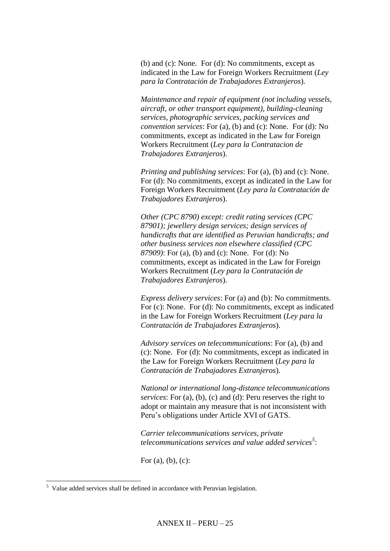(b) and (c): None. For (d): No commitments, except as indicated in the Law for Foreign Workers Recruitment (*Ley para la Contratación de Trabajadores Extranjeros*).

*Maintenance and repair of equipment (not including vessels, aircraft, or other transport equipment), building-cleaning services, photographic services, packing services and convention services*: For (a), (b) and (c): None. For (d): No commitments, except as indicated in the Law for Foreign Workers Recruitment (*Ley para la Contratacion de Trabajadores Extranjeros*).

*Printing and publishing services*: For (a), (b) and (c): None. For (d): No commitments, except as indicated in the Law for Foreign Workers Recruitment (*Ley para la Contratación de Trabajadores Extranjeros*).

*Other (CPC 8790) except: credit rating services (CPC 87901); jewellery design services; design services of handicrafts that are identified as Peruvian handicrafts; and other business services non elsewhere classified (CPC 87909)*: For (a), (b) and (c): None. For (d): No commitments, except as indicated in the Law for Foreign Workers Recruitment (*Ley para la Contratación de Trabajadores Extranjeros*).

*Express delivery services*: For (a) and (b): No commitments. For (c): None. For (d): No commitments, except as indicated in the Law for Foreign Workers Recruitment (*Ley para la Contratación de Trabajadores Extranjeros*).

*Advisory services on telecommunications*: For (a), (b) and (c): None. For (d): No commitments, except as indicated in the Law for Foreign Workers Recruitment (*Ley para la Contratación de Trabajadores Extranjeros*).

*National or international long-distance telecommunications services*: For (a), (b), (c) and (d): Peru reserves the right to adopt or maintain any measure that is not inconsistent with Peru's obligations under Article XVI of GATS.

*Carrier telecommunications services, private telecommunications services and value added services<sup>5</sup>* :

For  $(a)$ ,  $(b)$ ,  $(c)$ :

 $\overline{a}$ 

<sup>&</sup>lt;sup>5</sup> Value added services shall be defined in accordance with Peruvian legislation.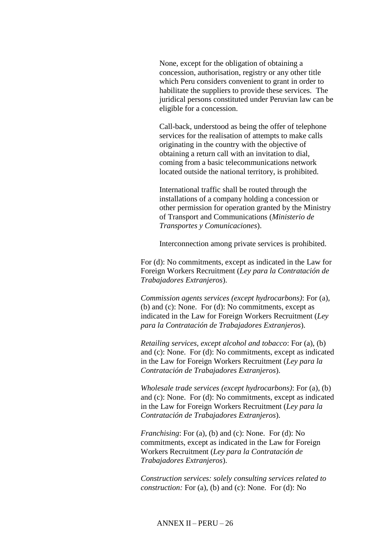None, except for the obligation of obtaining a concession, authorisation, registry or any other title which Peru considers convenient to grant in order to habilitate the suppliers to provide these services. The juridical persons constituted under Peruvian law can be eligible for a concession.

Call-back, understood as being the offer of telephone services for the realisation of attempts to make calls originating in the country with the objective of obtaining a return call with an invitation to dial, coming from a basic telecommunications network located outside the national territory, is prohibited.

International traffic shall be routed through the installations of a company holding a concession or other permission for operation granted by the Ministry of Transport and Communications (*Ministerio de Transportes y Comunicaciones*).

Interconnection among private services is prohibited.

For (d): No commitments, except as indicated in the Law for Foreign Workers Recruitment (*Ley para la Contratación de Trabajadores Extranjeros*).

*Commission agents services (except hydrocarbons)*: For (a), (b) and (c): None. For (d): No commitments, except as indicated in the Law for Foreign Workers Recruitment (*Ley para la Contratación de Trabajadores Extranjeros*).

*Retailing services, except alcohol and tobacco*: For (a), (b) and (c): None. For (d): No commitments, except as indicated in the Law for Foreign Workers Recruitment (*Ley para la Contratación de Trabajadores Extranjeros*).

*Wholesale trade services (except hydrocarbons)*: For (a), (b) and (c): None. For (d): No commitments, except as indicated in the Law for Foreign Workers Recruitment (*Ley para la Contratación de Trabajadores Extranjeros*).

*Franchising*: For (a), (b) and (c): None. For (d): No commitments, except as indicated in the Law for Foreign Workers Recruitment (*Ley para la Contratación de Trabajadores Extranjeros*).

*Construction services: solely consulting services related to construction:* For (a), (b) and (c): None. For (d): No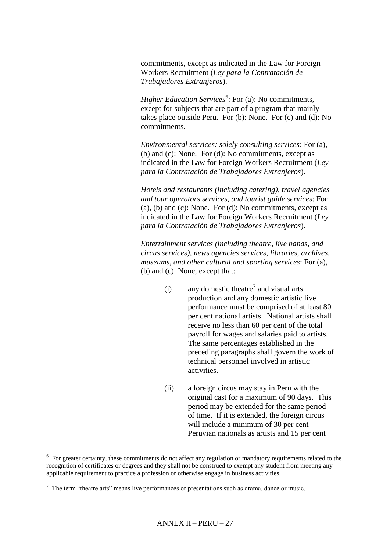commitments, except as indicated in the Law for Foreign Workers Recruitment (*Ley para la Contratación de Trabajadores Extranjeros*).

*Higher Education Services*<sup>6</sup>: For (a): No commitments, except for subjects that are part of a program that mainly takes place outside Peru. For (b): None. For (c) and (d): No commitments.

*Environmental services: solely consulting services*: For (a), (b) and (c): None. For (d): No commitments, except as indicated in the Law for Foreign Workers Recruitment (*Ley para la Contratación de Trabajadores Extranjeros*).

*Hotels and restaurants (including catering), travel agencies and tour operators services, and tourist guide services*: For (a), (b) and (c): None. For  $(d)$ : No commitments, except as indicated in the Law for Foreign Workers Recruitment (*Ley para la Contratación de Trabajadores Extranjeros*).

*Entertainment services (including theatre, live bands, and circus services), news agencies services, libraries, archives, museums, and other cultural and sporting services*: For (a), (b) and (c): None, except that:

- (i) any domestic theatre<sup>7</sup> and visual arts production and any domestic artistic live performance must be comprised of at least 80 per cent national artists. National artists shall receive no less than 60 per cent of the total payroll for wages and salaries paid to artists. The same percentages established in the preceding paragraphs shall govern the work of technical personnel involved in artistic activities.
- (ii) a foreign circus may stay in Peru with the original cast for a maximum of 90 days. This period may be extended for the same period of time. If it is extended, the foreign circus will include a minimum of 30 per cent Peruvian nationals as artists and 15 per cent

<sup>&</sup>lt;sup>6</sup> For greater certainty, these commitments do not affect any regulation or mandatory requirements related to the recognition of certificates or degrees and they shall not be construed to exempt any student from meeting any applicable requirement to practice a profession or otherwise engage in business activities.

 $<sup>7</sup>$  The term "theatre arts" means live performances or presentations such as drama, dance or music.</sup>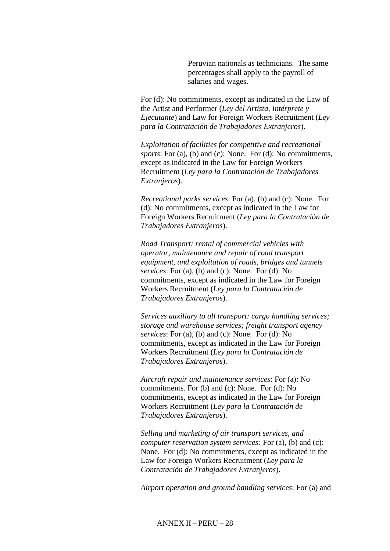Peruvian nationals as technicians. The same percentages shall apply to the payroll of salaries and wages.

For (d): No commitments, except as indicated in the Law of the Artist and Performer (*Ley del Artista, Intérprete y Ejecutante*) and Law for Foreign Workers Recruitment (*Ley para la Contratación de Trabajadores Extranjeros*).

*Exploitation of facilities for competitive and recreational sports*: For (a), (b) and (c): None. For (d): No commitments, except as indicated in the Law for Foreign Workers Recruitment (*Ley para la Contratación de Trabajadores Extranjeros*).

*Recreational parks services*: For (a), (b) and (c): None. For (d): No commitments, except as indicated in the Law for Foreign Workers Recruitment (*Ley para la Contratación de Trabajadores Extranjeros*).

*Road Transport: rental of commercial vehicles with operator, maintenance and repair of road transport equipment, and exploitation of roads, bridges and tunnels services*: For (a), (b) and (c): None. For (d): No commitments, except as indicated in the Law for Foreign Workers Recruitment (*Ley para la Contratación de Trabajadores Extranjeros*).

*Services auxiliary to all transport: cargo handling services; storage and warehouse services; freight transport agency services*: For (a), (b) and (c): None. For (d): No commitments, except as indicated in the Law for Foreign Workers Recruitment (*Ley para la Contratación de Trabajadores Extranjeros*).

*Aircraft repair and maintenance services*: For (a): No commitments. For (b) and (c): None. For (d): No commitments, except as indicated in the Law for Foreign Workers Recruitment (*Ley para la Contratación de Trabajadores Extranjeros*).

*Selling and marketing of air transport services, and computer reservation system services:* For (a), (b) and (c): None. For (d): No commitments, except as indicated in the Law for Foreign Workers Recruitment (*Ley para la Contratación de Trabajadores Extranjeros*).

*Airport operation and ground handling services*: For (a) and